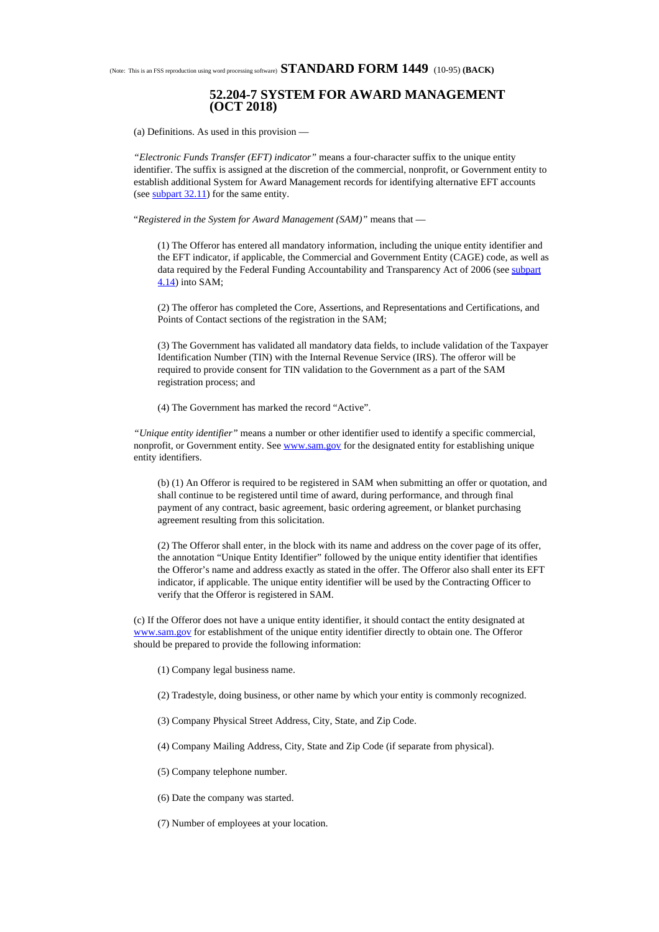## (Note: This is an FSS reproduction using word processing software) **STANDARD FORM 1449** (10-95) **(BACK)**

## **52.204-7 SYSTEM FOR AWARD MANAGEMENT (OCT 2018)**

(a) Definitions. As used in this provision —

*"Electronic Funds Transfer (EFT) indicator"* means a four-character suffix to the unique entity identifier. The suffix is assigned at the discretion of the commercial, nonprofit, or Government entity to establish additional System for Award Management records for identifying alternative EFT accounts (see  $\frac{\text{subpart }32.11}{\text{est}}$  $\frac{\text{subpart }32.11}{\text{est}}$  $\frac{\text{subpart }32.11}{\text{est}}$ ) for the same entity.

"*Registered in the System for Award Management (SAM)"* means that —

(1) The Offeror has entered all mandatory information, including the unique entity identifier and the EFT indicator, if applicable, the Commercial and Government Entity (CAGE) code, as well as data required by the Federal Funding Accountability and Transparency Act of 2006 (see [subpart](https://www.acquisition.gov/sites/default/files/current/far/html/Subpart%204_14.html#wp1075239) [4.14](https://www.acquisition.gov/sites/default/files/current/far/html/Subpart%204_14.html#wp1075239)) into SAM;

(2) The offeror has completed the Core, Assertions, and Representations and Certifications, and Points of Contact sections of the registration in the SAM;

(3) The Government has validated all mandatory data fields, to include validation of the Taxpayer Identification Number (TIN) with the Internal Revenue Service (IRS). The offeror will be required to provide consent for TIN validation to the Government as a part of the SAM registration process; and

(4) The Government has marked the record "Active".

*"Unique entity identifier"* means a number or other identifier used to identify a specific commercial, nonprofit, or Government entity. See [www.sam.gov](https://www.acquisition.gov/sites/default/files/current/far/html/www.sam.gov) for the designated entity for establishing unique entity identifiers.

(b) (1) An Offeror is required to be registered in SAM when submitting an offer or quotation, and shall continue to be registered until time of award, during performance, and through final payment of any contract, basic agreement, basic ordering agreement, or blanket purchasing agreement resulting from this solicitation.

(2) The Offeror shall enter, in the block with its name and address on the cover page of its offer, the annotation "Unique Entity Identifier" followed by the unique entity identifier that identifies the Offeror's name and address exactly as stated in the offer. The Offeror also shall enter its EFT indicator, if applicable. The unique entity identifier will be used by the Contracting Officer to verify that the Offeror is registered in SAM.

(c) If the Offeror does not have a unique entity identifier, it should contact the entity designated at [www.sam.gov](https://www.acquisition.gov/sites/default/files/current/far/html/www.sam.gov) for establishment of the unique entity identifier directly to obtain one. The Offeror should be prepared to provide the following information:

- (1) Company legal business name.
- (2) Tradestyle, doing business, or other name by which your entity is commonly recognized.
- (3) Company Physical Street Address, City, State, and Zip Code.
- (4) Company Mailing Address, City, State and Zip Code (if separate from physical).
- (5) Company telephone number.
- (6) Date the company was started.
- (7) Number of employees at your location.